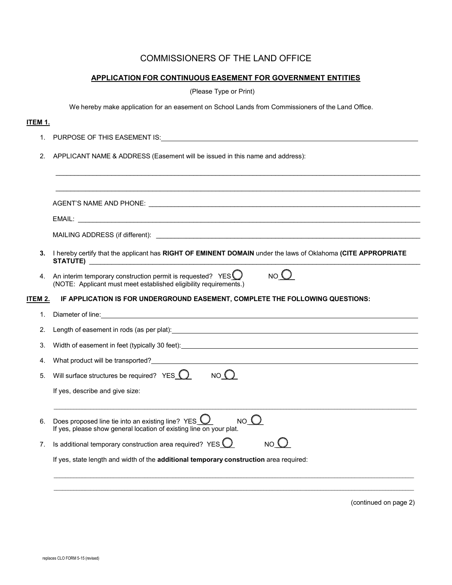## COMMISSIONERS OF THE LAND OFFICE

## **APPLICATION FOR CONTINUOUS EASEMENT FOR GOVERNMENT ENTITIES**

(Please Type or Print)

We hereby make application for an easement on School Lands from Commissioners of the Land Office.

## **ITEM 1.**

- 1. PURPOSE OF THIS EASEMENT IS:
- 2. APPLICANT NAME & ADDRESS (Easement will be issued in this name and address):

| 3.      | I hereby certify that the applicant has RIGHT OF EMINENT DOMAIN under the laws of Oklahoma (CITE APPROPRIATE                                                                                                                   |  |  |
|---------|--------------------------------------------------------------------------------------------------------------------------------------------------------------------------------------------------------------------------------|--|--|
| 4.      | NO <sub>0</sub><br>An interim temporary construction permit is requested? YES $\bigcirc$<br>(NOTE: Applicant must meet established eligibility requirements.)                                                                  |  |  |
| ITEM 2. | IF APPLICATION IS FOR UNDERGROUND EASEMENT, COMPLETE THE FOLLOWING QUESTIONS:                                                                                                                                                  |  |  |
| 1.      |                                                                                                                                                                                                                                |  |  |
| 2.      | Length of easement in rods (as per plat): example and the control of the control of the control of the control of the control of the control of the control of the control of the control of the control of the control of the |  |  |
| 3.      |                                                                                                                                                                                                                                |  |  |
| 4.      |                                                                                                                                                                                                                                |  |  |
| 5.      | Will surface structures be required? $YES$ $0$ $NO$ $O$                                                                                                                                                                        |  |  |
|         | If yes, describe and give size:                                                                                                                                                                                                |  |  |
| 6.      | NO <sub>O</sub><br>Does proposed line tie into an existing line? $YES$<br>If yes, please show general location of existing line on your plat.                                                                                  |  |  |
| 7.      | Is additional temporary construction area required? YES $\bigcirc$<br>NO <sub>O</sub>                                                                                                                                          |  |  |
|         | If yes, state length and width of the additional temporary construction area required:                                                                                                                                         |  |  |

(continued on page 2)